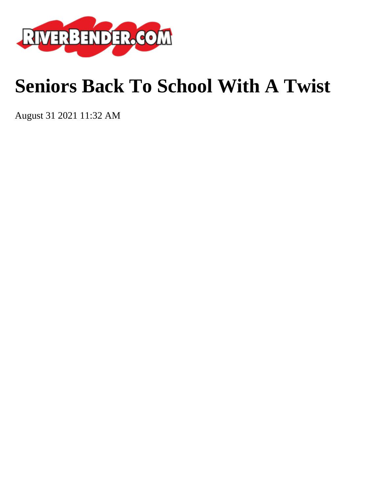

## **Seniors Back To School With A Twist**

August 31 2021 11:32 AM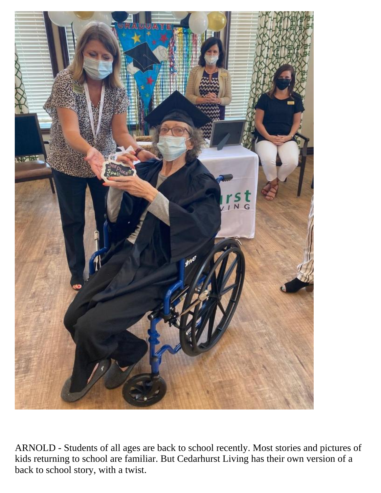

ARNOLD - Students of all ages are back to school recently. Most stories and pictures of kids returning to school are familiar. But Cedarhurst Living has their own version of a back to school story, with a twist.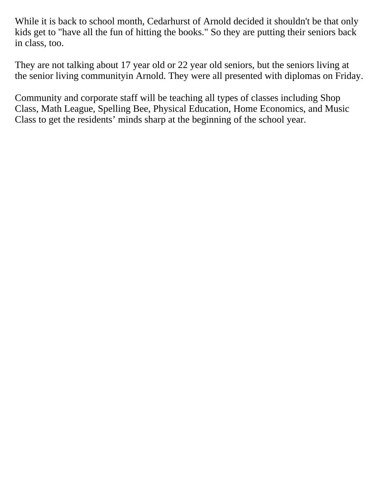While it is back to school month, Cedarhurst of Arnold decided it shouldn't be that only kids get to "have all the fun of hitting the books." So they are putting their seniors back in class, too.

They are not talking about 17 year old or 22 year old seniors, but the seniors living at the senior living communityin Arnold. They were all presented with diplomas on Friday.

Community and corporate staff will be teaching all types of classes including Shop Class, Math League, Spelling Bee, Physical Education, Home Economics, and Music Class to get the residents' minds sharp at the beginning of the school year.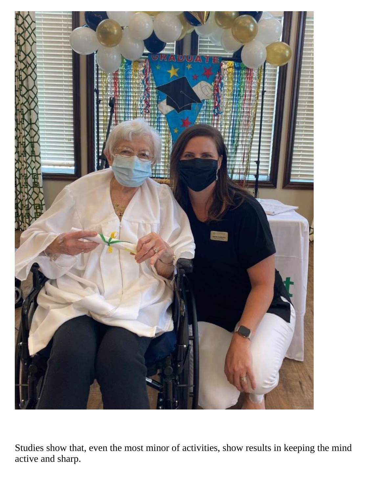

Studies show that, even the most minor of activities, show results in keeping the mind active and sharp.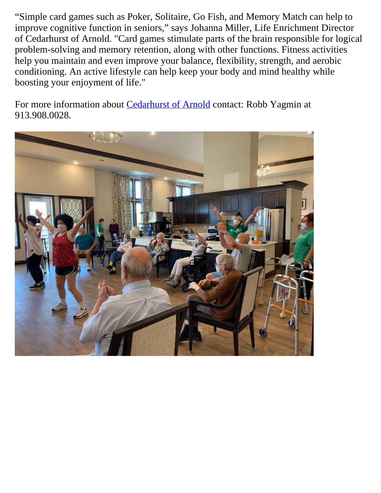"Simple card games such as Poker, Solitaire, Go Fish, and Memory Match can help to improve cognitive function in seniors," says Johanna Miller, Life Enrichment Director of Cedarhurst of Arnold. "Card games stimulate parts of the brain responsible for logical problem-solving and memory retention, along with other functions. Fitness activities help you maintain and even improve your balance, flexibility, strength, and aerobic conditioning. An active lifestyle can help keep your body and mind healthy while boosting your enjoyment of life."

For more information about [Cedarhurst of Arnold](http://cedarhurstliving.com/) contact: Robb Yagmin at 913.908.0028.

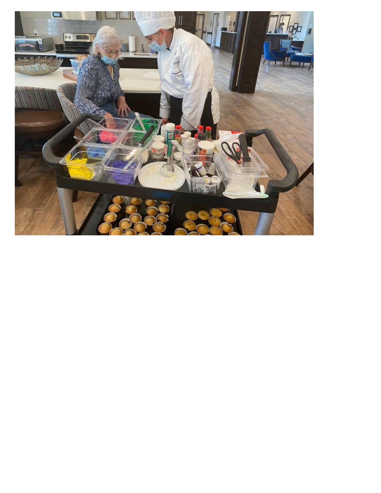